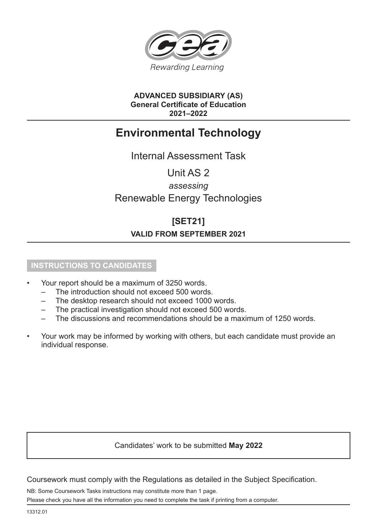

## **ADVANCED SUBSIDIARY (AS) General Certificate of Education 2021–2022**

# **Environmental Technology**

Internal Assessment Task

Unit AS 2

## *assessing* Renewable Energy Technologies

## **[SET21]**

## **VALID FROM SEPTEMBER 2021**

### **INSTRUCTIONS TO CANDIDATES**

- Your report should be a maximum of 3250 words.
	- The introduction should not exceed 500 words.
	- The desktop research should not exceed 1000 words.
	- The practical investigation should not exceed 500 words.
	- The discussions and recommendations should be a maximum of 1250 words.
- Your work may be informed by working with others, but each candidate must provide an individual response.

## Candidates' work to be submitted **May 2022**

Coursework must comply with the Regulations as detailed in the Subject Specification.

NB: Some Coursework Tasks instructions may constitute more than 1 page. Please check you have all the information you need to complete the task if printing from a computer.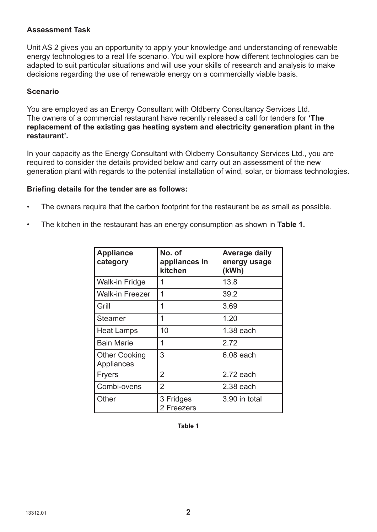### **Assessment Task**

Unit AS 2 gives you an opportunity to apply your knowledge and understanding of renewable energy technologies to a real life scenario. You will explore how different technologies can be adapted to suit particular situations and will use your skills of research and analysis to make decisions regarding the use of renewable energy on a commercially viable basis.

#### **Scenario**

You are employed as an Energy Consultant with Oldberry Consultancy Services Ltd. The owners of a commercial restaurant have recently released a call for tenders for **'The replacement of the existing gas heating system and electricity generation plant in the restaurant'.**

In your capacity as the Energy Consultant with Oldberry Consultancy Services Ltd., you are required to consider the details provided below and carry out an assessment of the new generation plant with regards to the potential installation of wind, solar, or biomass technologies.

#### **Briefing details for the tender are as follows:**

- The owners require that the carbon footprint for the restaurant be as small as possible.
- The kitchen in the restaurant has an energy consumption as shown in **Table 1.**

| <b>Appliance</b><br>category       | No. of<br>appliances in<br>kitchen | Average daily<br>energy usage<br>(kWh) |
|------------------------------------|------------------------------------|----------------------------------------|
| <b>Walk-in Fridge</b>              | 1                                  | 13.8                                   |
| <b>Walk-in Freezer</b>             | 1                                  | 39.2                                   |
| Grill                              | 1                                  | 3.69                                   |
| <b>Steamer</b>                     | 1                                  | 1.20                                   |
| <b>Heat Lamps</b>                  | 10                                 | $1.38$ each                            |
| <b>Bain Marie</b>                  | 1                                  | 2.72                                   |
| <b>Other Cooking</b><br>Appliances | 3                                  | 6.08 each                              |
| <b>Fryers</b>                      | $\overline{2}$                     | $2.72$ each                            |
| Combi-ovens                        | $\overline{2}$                     | $2.38$ each                            |
| Other                              | 3 Fridges<br>2 Freezers            | 3.90 in total                          |

**Table 1**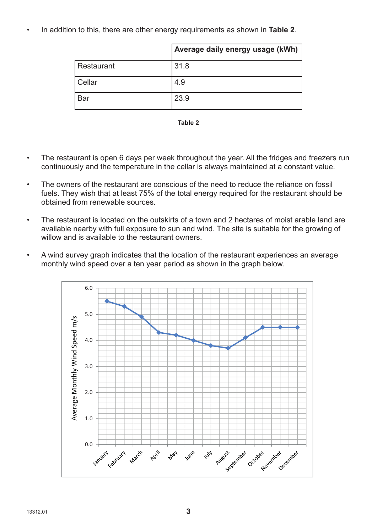• In addition to this, there are other energy requirements as shown in **Table 2**.

|               | Average daily energy usage (kWh) |
|---------------|----------------------------------|
| Restaurant    | 31.8                             |
| <b>Cellar</b> | 4.9                              |
| <b>Bar</b>    | 23.9                             |



- The restaurant is open 6 days per week throughout the year. All the fridges and freezers run continuously and the temperature in the cellar is always maintained at a constant value.
- The owners of the restaurant are conscious of the need to reduce the reliance on fossil fuels. They wish that at least 75% of the total energy required for the restaurant should be obtained from renewable sources.
- The restaurant is located on the outskirts of a town and 2 hectares of moist arable land are available nearby with full exposure to sun and wind. The site is suitable for the growing of willow and is available to the restaurant owners.
- A wind survey graph indicates that the location of the restaurant experiences an average monthly wind speed over a ten year period as shown in the graph below.

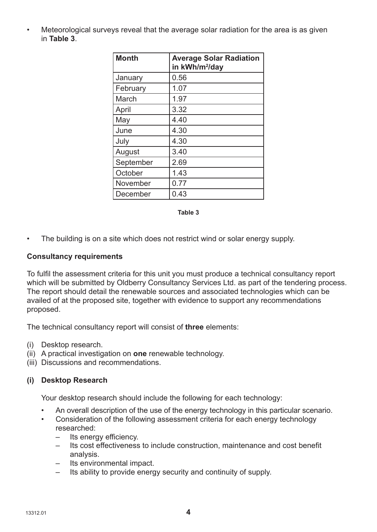• Meteorological surveys reveal that the average solar radiation for the area is as given in **Table 3**.

| <b>Month</b> | <b>Average Solar Radiation</b><br>in kWh/m <sup>2</sup> /day |
|--------------|--------------------------------------------------------------|
| January      | 0.56                                                         |
| February     | 1.07                                                         |
| March        | 1.97                                                         |
| April        | 3.32                                                         |
| May          | 4.40                                                         |
| June         | 4.30                                                         |
| July         | 4.30                                                         |
| August       | 3.40                                                         |
| September    | 2.69                                                         |
| October      | 1.43                                                         |
| November     | 0.77                                                         |
| December     | 0.43                                                         |

#### **Table 3**

• The building is on a site which does not restrict wind or solar energy supply.

#### **Consultancy requirements**

To fulfil the assessment criteria for this unit you must produce a technical consultancy report which will be submitted by Oldberry Consultancy Services Ltd. as part of the tendering process. The report should detail the renewable sources and associated technologies which can be availed of at the proposed site, together with evidence to support any recommendations proposed.

The technical consultancy report will consist of **three** elements:

- (i) Desktop research.
- (ii) A practical investigation on **one** renewable technology.
- (iii) Discussions and recommendations.

#### **(i) Desktop Research**

Your desktop research should include the following for each technology:

- An overall description of the use of the energy technology in this particular scenario.
- Consideration of the following assessment criteria for each energy technology researched:
	- Its energy efficiency.
	- Its cost effectiveness to include construction, maintenance and cost benefit analysis.
	- Its environmental impact.
	- Its ability to provide energy security and continuity of supply.